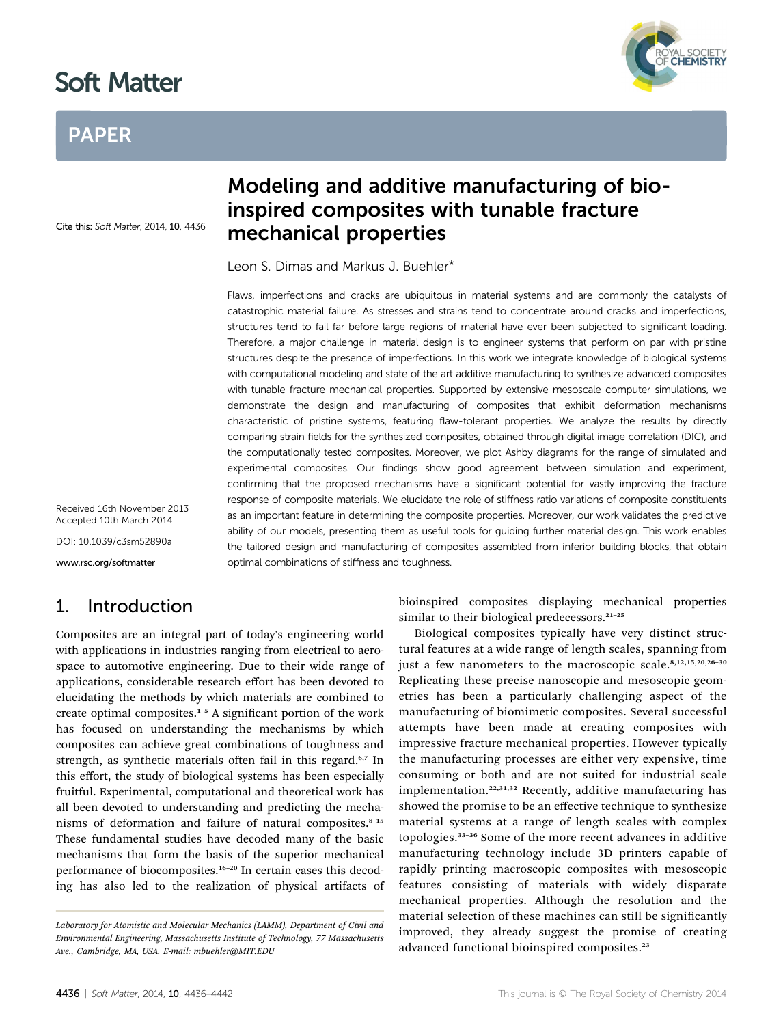# Soft Matter

# PAPER

Cite this: Soft Matter, 2014, 10, 4436

# Modeling and additive manufacturing of bioinspired composites with tunable fracture mechanical properties

Leon S. Dimas and Markus J. Buehler\*

Flaws, imperfections and cracks are ubiquitous in material systems and are commonly the catalysts of catastrophic material failure. As stresses and strains tend to concentrate around cracks and imperfections, structures tend to fail far before large regions of material have ever been subjected to significant loading. Therefore, a major challenge in material design is to engineer systems that perform on par with pristine structures despite the presence of imperfections. In this work we integrate knowledge of biological systems with computational modeling and state of the art additive manufacturing to synthesize advanced composites with tunable fracture mechanical properties. Supported by extensive mesoscale computer simulations, we demonstrate the design and manufacturing of composites that exhibit deformation mechanisms characteristic of pristine systems, featuring flaw-tolerant properties. We analyze the results by directly comparing strain fields for the synthesized composites, obtained through digital image correlation (DIC), and the computationally tested composites. Moreover, we plot Ashby diagrams for the range of simulated and experimental composites. Our findings show good agreement between simulation and experiment, confirming that the proposed mechanisms have a significant potential for vastly improving the fracture response of composite materials. We elucidate the role of stiffness ratio variations of composite constituents as an important feature in determining the composite properties. Moreover, our work validates the predictive ability of our models, presenting them as useful tools for guiding further material design. This work enables the tailored design and manufacturing of composites assembled from inferior building blocks, that obtain optimal combinations of stiffness and toughness.

Received 16th November 2013 Accepted 10th March 2014 DOI: 10.1039/c3sm52890a

www.rsc.org/softmatter

# 1. Introduction

Composites are an integral part of today's engineering world with applications in industries ranging from electrical to aerospace to automotive engineering. Due to their wide range of applications, considerable research effort has been devoted to elucidating the methods by which materials are combined to create optimal composites. $1-5$  A significant portion of the work has focused on understanding the mechanisms by which composites can achieve great combinations of toughness and strength, as synthetic materials often fail in this regard.<sup>6,7</sup> In this effort, the study of biological systems has been especially fruitful. Experimental, computational and theoretical work has all been devoted to understanding and predicting the mechanisms of deformation and failure of natural composites.<sup>8-15</sup> These fundamental studies have decoded many of the basic mechanisms that form the basis of the superior mechanical performance of biocomposites.<sup>16-20</sup> In certain cases this decoding has also led to the realization of physical artifacts of bioinspired composites displaying mechanical properties similar to their biological predecessors.<sup>21-25</sup>

Biological composites typically have very distinct structural features at a wide range of length scales, spanning from just a few nanometers to the macroscopic scale.<sup>8,12,15,20,26-30</sup> Replicating these precise nanoscopic and mesoscopic geometries has been a particularly challenging aspect of the manufacturing of biomimetic composites. Several successful attempts have been made at creating composites with impressive fracture mechanical properties. However typically the manufacturing processes are either very expensive, time consuming or both and are not suited for industrial scale implementation.<sup>22,31,32</sup> Recently, additive manufacturing has showed the promise to be an effective technique to synthesize material systems at a range of length scales with complex topologies.<sup>33</sup>–<sup>36</sup> Some of the more recent advances in additive manufacturing technology include 3D printers capable of rapidly printing macroscopic composites with mesoscopic features consisting of materials with widely disparate mechanical properties. Although the resolution and the material selection of these machines can still be significantly improved, they already suggest the promise of creating advanced functional bioinspired composites.<sup>23</sup>

Laboratory for Atomistic and Molecular Mechanics (LAMM), Department of Civil and Environmental Engineering, Massachusetts Institute of Technology, 77 Massachusetts Ave., Cambridge, MA, USA. E-mail: mbuehler@MIT.EDU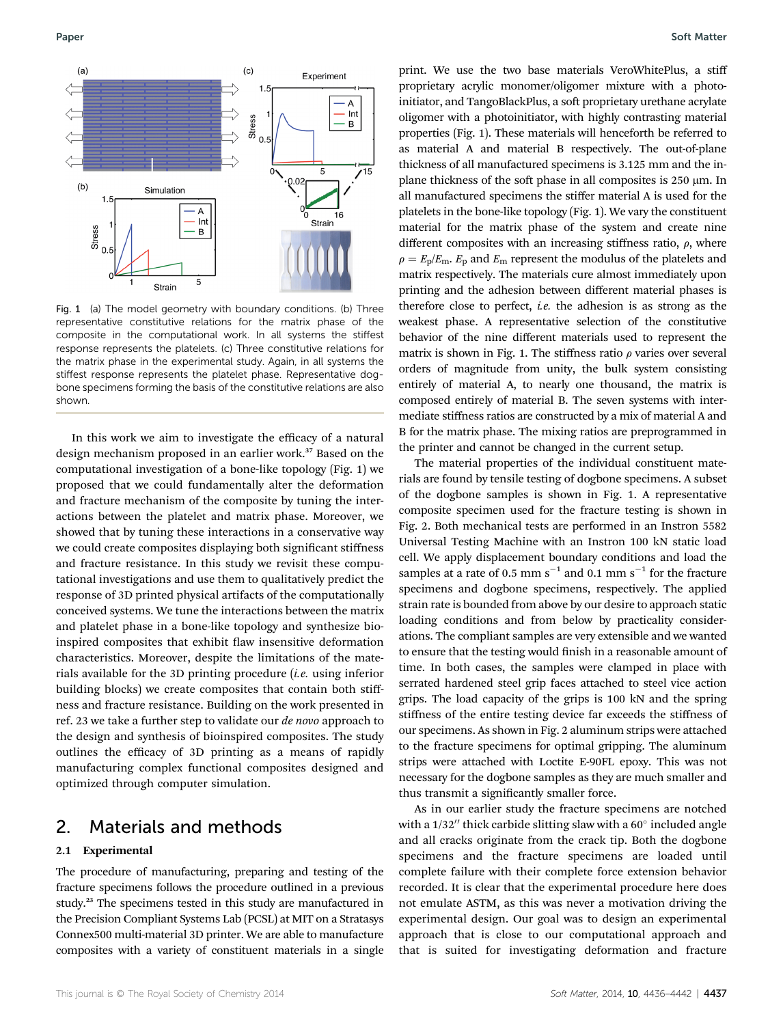

Fig. 1 (a) The model geometry with boundary conditions. (b) Three representative constitutive relations for the matrix phase of the composite in the computational work. In all systems the stiffest response represents the platelets. (c) Three constitutive relations for the matrix phase in the experimental study. Again, in all systems the stiffest response represents the platelet phase. Representative dogbone specimens forming the basis of the constitutive relations are also shown.

In this work we aim to investigate the efficacy of a natural design mechanism proposed in an earlier work.<sup>37</sup> Based on the computational investigation of a bone-like topology (Fig. 1) we proposed that we could fundamentally alter the deformation and fracture mechanism of the composite by tuning the interactions between the platelet and matrix phase. Moreover, we showed that by tuning these interactions in a conservative way we could create composites displaying both significant stiffness and fracture resistance. In this study we revisit these computational investigations and use them to qualitatively predict the response of 3D printed physical artifacts of the computationally conceived systems. We tune the interactions between the matrix and platelet phase in a bone-like topology and synthesize bioinspired composites that exhibit flaw insensitive deformation characteristics. Moreover, despite the limitations of the materials available for the 3D printing procedure (i.e. using inferior building blocks) we create composites that contain both stiffness and fracture resistance. Building on the work presented in ref. 23 we take a further step to validate our de novo approach to the design and synthesis of bioinspired composites. The study outlines the efficacy of 3D printing as a means of rapidly manufacturing complex functional composites designed and optimized through computer simulation.

# 2. Materials and methods

#### 2.1 Experimental

The procedure of manufacturing, preparing and testing of the fracture specimens follows the procedure outlined in a previous study.<sup>23</sup> The specimens tested in this study are manufactured in the Precision Compliant Systems Lab (PCSL) at MIT on a Stratasys Connex500 multi-material 3D printer. We are able to manufacture composites with a variety of constituent materials in a single

print. We use the two base materials VeroWhitePlus, a stiff proprietary acrylic monomer/oligomer mixture with a photoinitiator, and TangoBlackPlus, a soft proprietary urethane acrylate oligomer with a photoinitiator, with highly contrasting material properties (Fig. 1). These materials will henceforth be referred to as material A and material B respectively. The out-of-plane thickness of all manufactured specimens is 3.125 mm and the inplane thickness of the soft phase in all composites is  $250 \mu m$ . In all manufactured specimens the stiffer material A is used for the platelets in the bone-like topology (Fig. 1). We vary the constituent material for the matrix phase of the system and create nine different composites with an increasing stiffness ratio,  $\rho$ , where  $\rho = E_p/E_m$ .  $E_p$  and  $E_m$  represent the modulus of the platelets and matrix respectively. The materials cure almost immediately upon printing and the adhesion between different material phases is therefore close to perfect, *i.e.* the adhesion is as strong as the weakest phase. A representative selection of the constitutive behavior of the nine different materials used to represent the matrix is shown in Fig. 1. The stiffness ratio  $\rho$  varies over several orders of magnitude from unity, the bulk system consisting entirely of material A, to nearly one thousand, the matrix is composed entirely of material B. The seven systems with intermediate stiffness ratios are constructed by a mix of material A and B for the matrix phase. The mixing ratios are preprogrammed in the printer and cannot be changed in the current setup.

The material properties of the individual constituent materials are found by tensile testing of dogbone specimens. A subset of the dogbone samples is shown in Fig. 1. A representative composite specimen used for the fracture testing is shown in Fig. 2. Both mechanical tests are performed in an Instron 5582 Universal Testing Machine with an Instron 100 kN static load cell. We apply displacement boundary conditions and load the samples at a rate of 0.5 mm  $s^{-1}$  and 0.1 mm  $s^{-1}$  for the fracture specimens and dogbone specimens, respectively. The applied strain rate is bounded from above by our desire to approach static loading conditions and from below by practicality considerations. The compliant samples are very extensible and we wanted to ensure that the testing would finish in a reasonable amount of time. In both cases, the samples were clamped in place with serrated hardened steel grip faces attached to steel vice action grips. The load capacity of the grips is 100 kN and the spring stiffness of the entire testing device far exceeds the stiffness of our specimens. As shown in Fig. 2 aluminum strips were attached to the fracture specimens for optimal gripping. The aluminum strips were attached with Loctite E-90FL epoxy. This was not necessary for the dogbone samples as they are much smaller and thus transmit a significantly smaller force.

As in our earlier study the fracture specimens are notched with a 1/32" thick carbide slitting slaw with a  $60^\circ$  included angle and all cracks originate from the crack tip. Both the dogbone specimens and the fracture specimens are loaded until complete failure with their complete force extension behavior recorded. It is clear that the experimental procedure here does not emulate ASTM, as this was never a motivation driving the experimental design. Our goal was to design an experimental approach that is close to our computational approach and that is suited for investigating deformation and fracture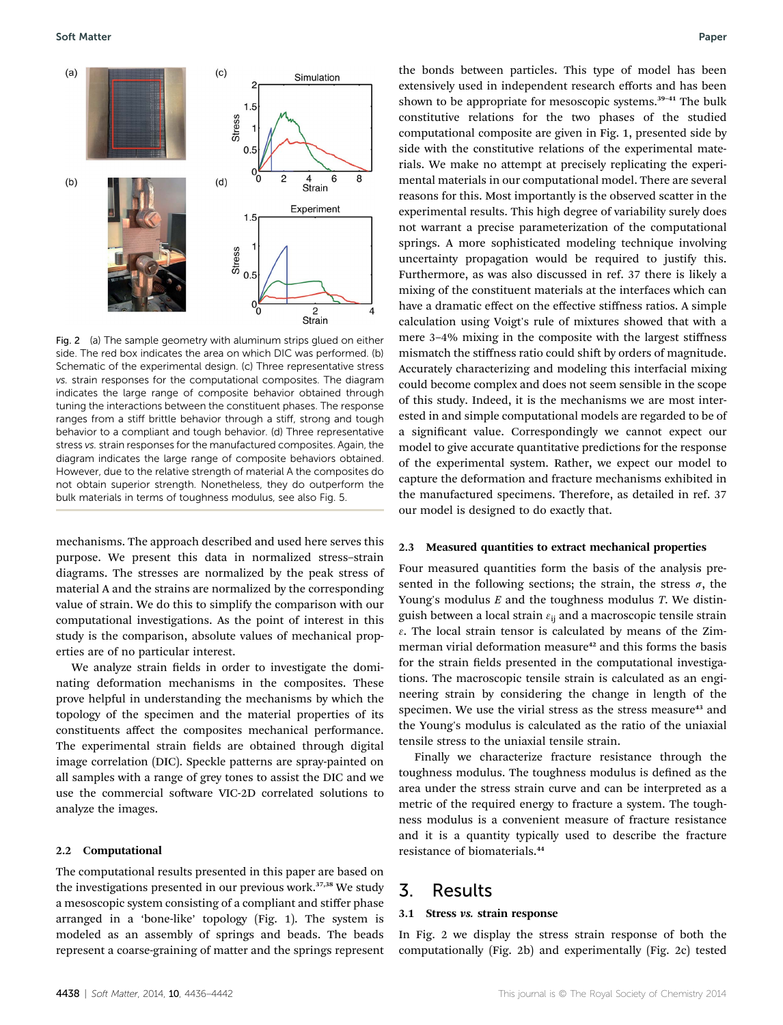

Fig. 2 (a) The sample geometry with aluminum strips glued on either side. The red box indicates the area on which DIC was performed. (b) Schematic of the experimental design. (c) Three representative stress vs. strain responses for the computational composites. The diagram indicates the large range of composite behavior obtained through tuning the interactions between the constituent phases. The response ranges from a stiff brittle behavior through a stiff, strong and tough behavior to a compliant and tough behavior. (d) Three representative stress vs. strain responses for the manufactured composites. Again, the diagram indicates the large range of composite behaviors obtained. However, due to the relative strength of material A the composites do not obtain superior strength. Nonetheless, they do outperform the bulk materials in terms of toughness modulus, see also Fig. 5.

mechanisms. The approach described and used here serves this purpose. We present this data in normalized stress–strain diagrams. The stresses are normalized by the peak stress of material A and the strains are normalized by the corresponding value of strain. We do this to simplify the comparison with our computational investigations. As the point of interest in this study is the comparison, absolute values of mechanical properties are of no particular interest.

We analyze strain fields in order to investigate the dominating deformation mechanisms in the composites. These prove helpful in understanding the mechanisms by which the topology of the specimen and the material properties of its constituents affect the composites mechanical performance. The experimental strain fields are obtained through digital image correlation (DIC). Speckle patterns are spray-painted on all samples with a range of grey tones to assist the DIC and we use the commercial software VIC-2D correlated solutions to analyze the images.

#### 2.2 Computational

The computational results presented in this paper are based on the investigations presented in our previous work.<sup>37,38</sup> We study a mesoscopic system consisting of a compliant and stiffer phase arranged in a 'bone-like' topology (Fig. 1). The system is modeled as an assembly of springs and beads. The beads represent a coarse-graining of matter and the springs represent the bonds between particles. This type of model has been extensively used in independent research efforts and has been shown to be appropriate for mesoscopic systems.<sup>39-41</sup> The bulk constitutive relations for the two phases of the studied computational composite are given in Fig. 1, presented side by side with the constitutive relations of the experimental materials. We make no attempt at precisely replicating the experimental materials in our computational model. There are several reasons for this. Most importantly is the observed scatter in the experimental results. This high degree of variability surely does not warrant a precise parameterization of the computational springs. A more sophisticated modeling technique involving

uncertainty propagation would be required to justify this. Furthermore, as was also discussed in ref. 37 there is likely a mixing of the constituent materials at the interfaces which can have a dramatic effect on the effective stiffness ratios. A simple calculation using Voigt's rule of mixtures showed that with a mere 3–4% mixing in the composite with the largest stiffness mismatch the stiffness ratio could shift by orders of magnitude. Accurately characterizing and modeling this interfacial mixing could become complex and does not seem sensible in the scope of this study. Indeed, it is the mechanisms we are most interested in and simple computational models are regarded to be of a significant value. Correspondingly we cannot expect our model to give accurate quantitative predictions for the response of the experimental system. Rather, we expect our model to capture the deformation and fracture mechanisms exhibited in the manufactured specimens. Therefore, as detailed in ref. 37 our model is designed to do exactly that.

#### 2.3 Measured quantities to extract mechanical properties

Four measured quantities form the basis of the analysis presented in the following sections; the strain, the stress  $\sigma$ , the Young's modulus  $E$  and the toughness modulus  $T$ . We distinguish between a local strain  $\varepsilon_{ij}$  and a macroscopic tensile strain  $\varepsilon$ . The local strain tensor is calculated by means of the Zimmerman virial deformation measure<sup>42</sup> and this forms the basis for the strain fields presented in the computational investigations. The macroscopic tensile strain is calculated as an engineering strain by considering the change in length of the specimen. We use the virial stress as the stress measure<sup>43</sup> and the Young's modulus is calculated as the ratio of the uniaxial tensile stress to the uniaxial tensile strain.

Finally we characterize fracture resistance through the toughness modulus. The toughness modulus is defined as the area under the stress strain curve and can be interpreted as a metric of the required energy to fracture a system. The toughness modulus is a convenient measure of fracture resistance and it is a quantity typically used to describe the fracture resistance of biomaterials.<sup>44</sup>

### 3. Results

### 3.1 Stress vs. strain response

In Fig. 2 we display the stress strain response of both the computationally (Fig. 2b) and experimentally (Fig. 2c) tested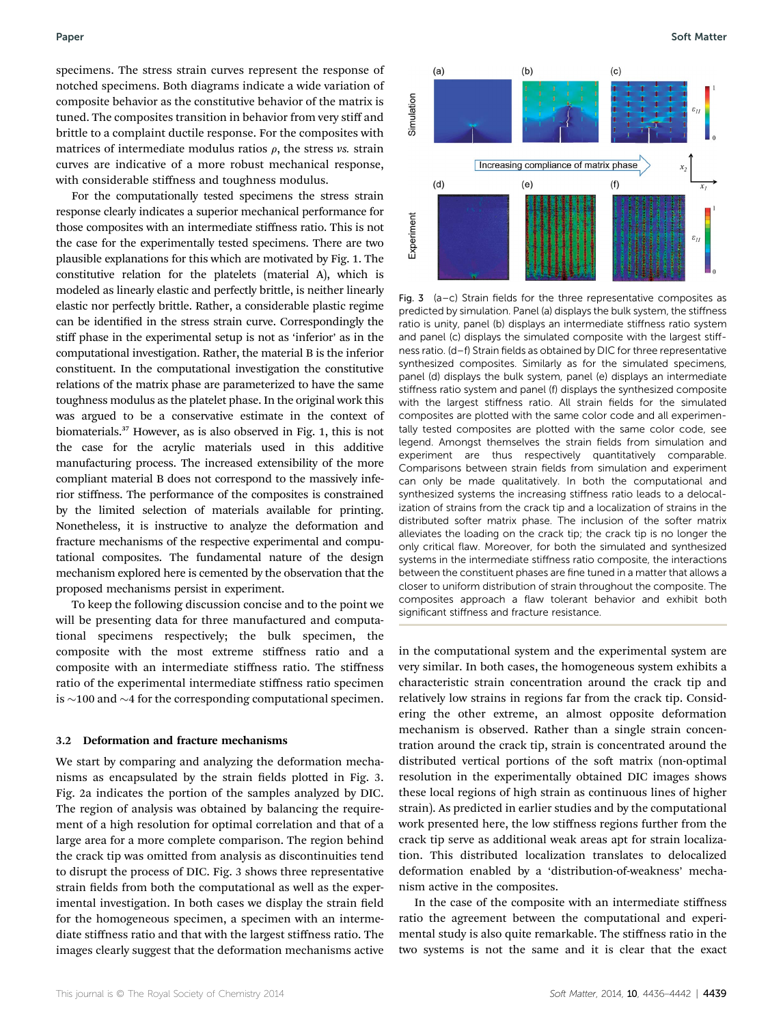specimens. The stress strain curves represent the response of notched specimens. Both diagrams indicate a wide variation of composite behavior as the constitutive behavior of the matrix is tuned. The composites transition in behavior from very stiff and brittle to a complaint ductile response. For the composites with matrices of intermediate modulus ratios  $\rho$ , the stress vs. strain curves are indicative of a more robust mechanical response, with considerable stiffness and toughness modulus.

For the computationally tested specimens the stress strain response clearly indicates a superior mechanical performance for those composites with an intermediate stiffness ratio. This is not the case for the experimentally tested specimens. There are two plausible explanations for this which are motivated by Fig. 1. The constitutive relation for the platelets (material A), which is modeled as linearly elastic and perfectly brittle, is neither linearly elastic nor perfectly brittle. Rather, a considerable plastic regime can be identified in the stress strain curve. Correspondingly the stiff phase in the experimental setup is not as 'inferior' as in the computational investigation. Rather, the material B is the inferior constituent. In the computational investigation the constitutive relations of the matrix phase are parameterized to have the same toughness modulus as the platelet phase. In the original work this was argued to be a conservative estimate in the context of biomaterials.<sup>37</sup> However, as is also observed in Fig. 1, this is not the case for the acrylic materials used in this additive manufacturing process. The increased extensibility of the more compliant material B does not correspond to the massively inferior stiffness. The performance of the composites is constrained by the limited selection of materials available for printing. Nonetheless, it is instructive to analyze the deformation and fracture mechanisms of the respective experimental and computational composites. The fundamental nature of the design mechanism explored here is cemented by the observation that the proposed mechanisms persist in experiment.

To keep the following discussion concise and to the point we will be presenting data for three manufactured and computational specimens respectively; the bulk specimen, the composite with the most extreme stiffness ratio and a composite with an intermediate stiffness ratio. The stiffness ratio of the experimental intermediate stiffness ratio specimen is  $\sim$ 100 and  $\sim$ 4 for the corresponding computational specimen.

#### 3.2 Deformation and fracture mechanisms

We start by comparing and analyzing the deformation mechanisms as encapsulated by the strain fields plotted in Fig. 3. Fig. 2a indicates the portion of the samples analyzed by DIC. The region of analysis was obtained by balancing the requirement of a high resolution for optimal correlation and that of a large area for a more complete comparison. The region behind the crack tip was omitted from analysis as discontinuities tend to disrupt the process of DIC. Fig. 3 shows three representative strain fields from both the computational as well as the experimental investigation. In both cases we display the strain field for the homogeneous specimen, a specimen with an intermediate stiffness ratio and that with the largest stiffness ratio. The images clearly suggest that the deformation mechanisms active



Fig. 3 (a–c) Strain fields for the three representative composites as predicted by simulation. Panel (a) displays the bulk system, the stiffness ratio is unity, panel (b) displays an intermediate stiffness ratio system and panel (c) displays the simulated composite with the largest stiffness ratio. (d–f) Strain fields as obtained by DIC for three representative synthesized composites. Similarly as for the simulated specimens, panel (d) displays the bulk system, panel (e) displays an intermediate stiffness ratio system and panel (f) displays the synthesized composite with the largest stiffness ratio. All strain fields for the simulated composites are plotted with the same color code and all experimentally tested composites are plotted with the same color code, see legend. Amongst themselves the strain fields from simulation and experiment are thus respectively quantitatively comparable. Comparisons between strain fields from simulation and experiment can only be made qualitatively. In both the computational and synthesized systems the increasing stiffness ratio leads to a delocalization of strains from the crack tip and a localization of strains in the distributed softer matrix phase. The inclusion of the softer matrix alleviates the loading on the crack tip; the crack tip is no longer the only critical flaw. Moreover, for both the simulated and synthesized systems in the intermediate stiffness ratio composite, the interactions between the constituent phases are fine tuned in a matter that allows a closer to uniform distribution of strain throughout the composite. The composites approach a flaw tolerant behavior and exhibit both significant stiffness and fracture resistance.

in the computational system and the experimental system are very similar. In both cases, the homogeneous system exhibits a characteristic strain concentration around the crack tip and relatively low strains in regions far from the crack tip. Considering the other extreme, an almost opposite deformation mechanism is observed. Rather than a single strain concentration around the crack tip, strain is concentrated around the distributed vertical portions of the soft matrix (non-optimal resolution in the experimentally obtained DIC images shows these local regions of high strain as continuous lines of higher strain). As predicted in earlier studies and by the computational work presented here, the low stiffness regions further from the crack tip serve as additional weak areas apt for strain localization. This distributed localization translates to delocalized deformation enabled by a 'distribution-of-weakness' mechanism active in the composites.

In the case of the composite with an intermediate stiffness ratio the agreement between the computational and experimental study is also quite remarkable. The stiffness ratio in the two systems is not the same and it is clear that the exact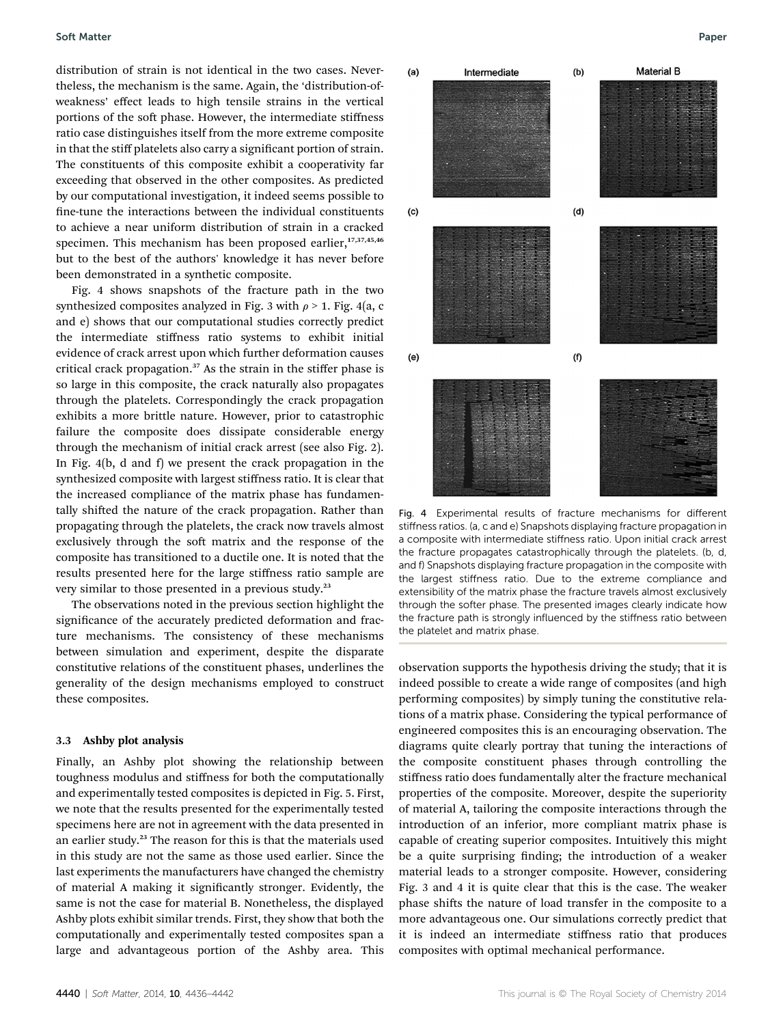#### Soft Matter Paper (1999) and the set of the set of the set of the set of the set of the set of the set of the set of the set of the set of the set of the set of the set of the set of the set of the set of the set of the se

distribution of strain is not identical in the two cases. Nevertheless, the mechanism is the same. Again, the 'distribution-ofweakness' effect leads to high tensile strains in the vertical portions of the soft phase. However, the intermediate stiffness ratio case distinguishes itself from the more extreme composite in that the stiff platelets also carry a significant portion of strain. The constituents of this composite exhibit a cooperativity far exceeding that observed in the other composites. As predicted by our computational investigation, it indeed seems possible to fine-tune the interactions between the individual constituents to achieve a near uniform distribution of strain in a cracked specimen. This mechanism has been proposed earlier, $17,37,45,46$ but to the best of the authors' knowledge it has never before been demonstrated in a synthetic composite.

Fig. 4 shows snapshots of the fracture path in the two synthesized composites analyzed in Fig. 3 with  $\rho > 1$ . Fig. 4(a, c and e) shows that our computational studies correctly predict the intermediate stiffness ratio systems to exhibit initial evidence of crack arrest upon which further deformation causes critical crack propagation.<sup>37</sup> As the strain in the stiffer phase is so large in this composite, the crack naturally also propagates through the platelets. Correspondingly the crack propagation exhibits a more brittle nature. However, prior to catastrophic failure the composite does dissipate considerable energy through the mechanism of initial crack arrest (see also Fig. 2). In Fig. 4(b, d and f) we present the crack propagation in the synthesized composite with largest stiffness ratio. It is clear that the increased compliance of the matrix phase has fundamentally shifted the nature of the crack propagation. Rather than propagating through the platelets, the crack now travels almost exclusively through the soft matrix and the response of the composite has transitioned to a ductile one. It is noted that the results presented here for the large stiffness ratio sample are very similar to those presented in a previous study.<sup>23</sup>

The observations noted in the previous section highlight the significance of the accurately predicted deformation and fracture mechanisms. The consistency of these mechanisms between simulation and experiment, despite the disparate constitutive relations of the constituent phases, underlines the generality of the design mechanisms employed to construct these composites.

#### 3.3 Ashby plot analysis

Finally, an Ashby plot showing the relationship between toughness modulus and stiffness for both the computationally and experimentally tested composites is depicted in Fig. 5. First, we note that the results presented for the experimentally tested specimens here are not in agreement with the data presented in an earlier study.<sup>23</sup> The reason for this is that the materials used in this study are not the same as those used earlier. Since the last experiments the manufacturers have changed the chemistry of material A making it signicantly stronger. Evidently, the same is not the case for material B. Nonetheless, the displayed Ashby plots exhibit similar trends. First, they show that both the computationally and experimentally tested composites span a large and advantageous portion of the Ashby area. This



Fig. 4 Experimental results of fracture mechanisms for different stiffness ratios. (a, c and e) Snapshots displaying fracture propagation in a composite with intermediate stiffness ratio. Upon initial crack arrest the fracture propagates catastrophically through the platelets. (b, d, and f) Snapshots displaying fracture propagation in the composite with the largest stiffness ratio. Due to the extreme compliance and extensibility of the matrix phase the fracture travels almost exclusively through the softer phase. The presented images clearly indicate how the fracture path is strongly influenced by the stiffness ratio between the platelet and matrix phase.

observation supports the hypothesis driving the study; that it is indeed possible to create a wide range of composites (and high performing composites) by simply tuning the constitutive relations of a matrix phase. Considering the typical performance of engineered composites this is an encouraging observation. The diagrams quite clearly portray that tuning the interactions of the composite constituent phases through controlling the stiffness ratio does fundamentally alter the fracture mechanical properties of the composite. Moreover, despite the superiority of material A, tailoring the composite interactions through the introduction of an inferior, more compliant matrix phase is capable of creating superior composites. Intuitively this might be a quite surprising finding; the introduction of a weaker material leads to a stronger composite. However, considering Fig. 3 and 4 it is quite clear that this is the case. The weaker phase shifts the nature of load transfer in the composite to a more advantageous one. Our simulations correctly predict that it is indeed an intermediate stiffness ratio that produces composites with optimal mechanical performance.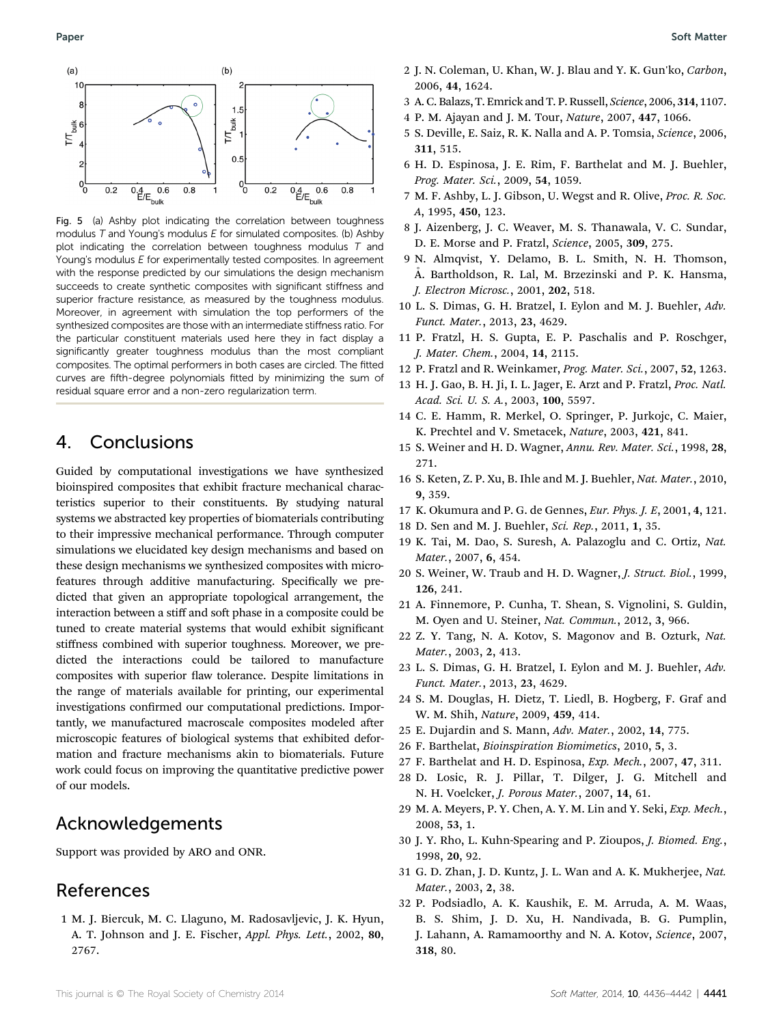

Fig. 5 (a) Ashby plot indicating the correlation between toughness modulus T and Young's modulus E for simulated composites. (b) Ashby plot indicating the correlation between toughness modulus T and Young's modulus E for experimentally tested composites. In agreement with the response predicted by our simulations the design mechanism succeeds to create synthetic composites with significant stiffness and superior fracture resistance, as measured by the toughness modulus. Moreover, in agreement with simulation the top performers of the synthesized composites are those with an intermediate stiffness ratio. For the particular constituent materials used here they in fact display a significantly greater toughness modulus than the most compliant composites. The optimal performers in both cases are circled. The fitted curves are fifth-degree polynomials fitted by minimizing the sum of residual square error and a non-zero regularization term.

### 4. Conclusions

Guided by computational investigations we have synthesized bioinspired composites that exhibit fracture mechanical characteristics superior to their constituents. By studying natural systems we abstracted key properties of biomaterials contributing to their impressive mechanical performance. Through computer simulations we elucidated key design mechanisms and based on these design mechanisms we synthesized composites with microfeatures through additive manufacturing. Specifically we predicted that given an appropriate topological arrangement, the interaction between a stiff and soft phase in a composite could be tuned to create material systems that would exhibit significant stiffness combined with superior toughness. Moreover, we predicted the interactions could be tailored to manufacture composites with superior flaw tolerance. Despite limitations in the range of materials available for printing, our experimental investigations confirmed our computational predictions. Importantly, we manufactured macroscale composites modeled after microscopic features of biological systems that exhibited deformation and fracture mechanisms akin to biomaterials. Future work could focus on improving the quantitative predictive power of our models.

# Acknowledgements

Support was provided by ARO and ONR.

# References

1 M. J. Biercuk, M. C. Llaguno, M. Radosavljevic, J. K. Hyun, A. T. Johnson and J. E. Fischer, Appl. Phys. Lett., 2002, 80, 2767.

- 2 J. N. Coleman, U. Khan, W. J. Blau and Y. K. Gun'ko, Carbon, 2006, 44, 1624.
- 3 A. C. Balazs, T. Emrick and T. P. Russell, Science, 2006, 314, 1107.
- 4 P. M. Ajayan and J. M. Tour, Nature, 2007, 447, 1066.
- 5 S. Deville, E. Saiz, R. K. Nalla and A. P. Tomsia, Science, 2006, 311, 515.
- 6 H. D. Espinosa, J. E. Rim, F. Barthelat and M. J. Buehler, Prog. Mater. Sci., 2009, 54, 1059.
- 7 M. F. Ashby, L. J. Gibson, U. Wegst and R. Olive, Proc. R. Soc. A, 1995, 450, 123.
- 8 J. Aizenberg, J. C. Weaver, M. S. Thanawala, V. C. Sundar, D. E. Morse and P. Fratzl, Science, 2005, 309, 275.
- 9 N. Almqvist, Y. Delamo, B. L. Smith, N. H. Thomson, A. Bartholdson, R. Lal, M. Brzezinski and P. K. Hansma, J. Electron Microsc., 2001, 202, 518.
- 10 L. S. Dimas, G. H. Bratzel, I. Eylon and M. J. Buehler, Adv. Funct. Mater., 2013, 23, 4629.
- 11 P. Fratzl, H. S. Gupta, E. P. Paschalis and P. Roschger, J. Mater. Chem., 2004, 14, 2115.
- 12 P. Fratzl and R. Weinkamer, Prog. Mater. Sci., 2007, 52, 1263.
- 13 H. J. Gao, B. H. Ji, I. L. Jager, E. Arzt and P. Fratzl, Proc. Natl. Acad. Sci. U. S. A., 2003, 100, 5597.
- 14 C. E. Hamm, R. Merkel, O. Springer, P. Jurkojc, C. Maier, K. Prechtel and V. Smetacek, Nature, 2003, 421, 841.
- 15 S. Weiner and H. D. Wagner, Annu. Rev. Mater. Sci., 1998, 28, 271.
- 16 S. Keten, Z. P. Xu, B. Ihle and M. J. Buehler, Nat. Mater., 2010, 9, 359.
- 17 K. Okumura and P. G. de Gennes, Eur. Phys. J. E, 2001, 4, 121.
- 18 D. Sen and M. J. Buehler, Sci. Rep., 2011, 1, 35.
- 19 K. Tai, M. Dao, S. Suresh, A. Palazoglu and C. Ortiz, Nat. Mater., 2007, 6, 454.
- 20 S. Weiner, W. Traub and H. D. Wagner, J. Struct. Biol., 1999, 126, 241.
- 21 A. Finnemore, P. Cunha, T. Shean, S. Vignolini, S. Guldin, M. Oyen and U. Steiner, Nat. Commun., 2012, 3, 966.
- 22 Z. Y. Tang, N. A. Kotov, S. Magonov and B. Ozturk, Nat. Mater., 2003, 2, 413.
- 23 L. S. Dimas, G. H. Bratzel, I. Eylon and M. J. Buehler, Adv. Funct. Mater., 2013, 23, 4629.
- 24 S. M. Douglas, H. Dietz, T. Liedl, B. Hogberg, F. Graf and W. M. Shih, Nature, 2009, 459, 414.
- 25 E. Dujardin and S. Mann, Adv. Mater., 2002, 14, 775.
- 26 F. Barthelat, Bioinspiration Biomimetics, 2010, 5, 3.
- 27 F. Barthelat and H. D. Espinosa, Exp. Mech., 2007, 47, 311.
- 28 D. Losic, R. J. Pillar, T. Dilger, J. G. Mitchell and N. H. Voelcker, J. Porous Mater., 2007, 14, 61.
- 29 M. A. Meyers, P. Y. Chen, A. Y. M. Lin and Y. Seki, Exp. Mech., 2008, 53, 1.
- 30 J. Y. Rho, L. Kuhn-Spearing and P. Zioupos, J. Biomed. Eng., 1998, 20, 92.
- 31 G. D. Zhan, J. D. Kuntz, J. L. Wan and A. K. Mukherjee, Nat. Mater., 2003, 2, 38.
- 32 P. Podsiadlo, A. K. Kaushik, E. M. Arruda, A. M. Waas, B. S. Shim, J. D. Xu, H. Nandivada, B. G. Pumplin, J. Lahann, A. Ramamoorthy and N. A. Kotov, Science, 2007, 318, 80.